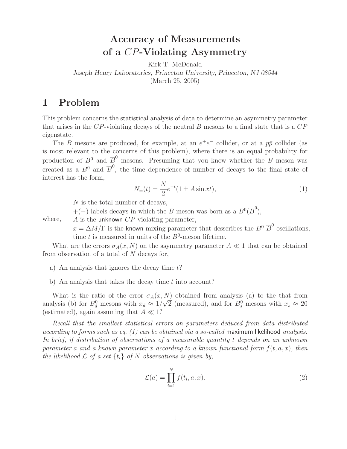# **Accuracy of Measurements of a** CP**-Violating Asymmetry**

Kirk T. McDonald

*Joseph Henry Laboratories, Princeton University, Princeton, NJ 08544*

(March 25, 2005)

## **1 Problem**

This problem concerns the statistical analysis of data to determine an asymmetry parameter that arises in the  $CP$ -violating decays of the neutral  $B$  mesons to a final state that is a  $CP$ eigenstate.

The B mesons are produced, for example, at an  $e^+e^-$  collider, or at a  $p\bar{p}$  collider (as is most relevant to the concerns of this problem), where there is an equal probability for production of  $B^0$  and  $\overline{B}^0$  mesons. Presuming that you know whether the B meson was created as a  $B^0$  and  $\overline{B}^0$ , the time dependence of number of decays to the final state of interest has the form,

$$
N_{\pm}(t) = \frac{N}{2}e^{-t}(1 \pm A\sin xt),
$$
\n(1)

N is the total number of decays,

+(-) labels decays in which the B meson was born as a  $B^0(\overline{B}^0)$ ,

where, A is the unknown CP-violating parameter,

 $x = \Delta M/\Gamma$  is the known mixing parameter that desscribes the  $B^0$ - $\overline{B}^0$  oscillations, time t is measured in units of the  $B^0$ -meson lifetime.

What are the errors  $\sigma_A(x, N)$  on the asymmetry parameter  $A \ll 1$  that can be obtained from observation of a total of  $N$  decays for,

a) An analysis that ignores the decay time  $t$ ?

b) An analysis that takes the decay time  $t$  into account?

What is the ratio of the error  $\sigma_A(x, N)$  obtained from analysis (a) to the that from what is the ratio of the error  $\partial_A(x, N)$  obtained from analysis (a) to the that from<br>analysis (b) for  $B_d^0$  mesons with  $x_d \approx 1/\sqrt{2}$  (measured), and for  $B_s^0$  mesons with  $x_s \approx 20$ (estimated), again assuming that  $A \ll 1$ ?

*Recall that the smallest statistical errors on parameters deduced from data distributed according to forms such as eq. (1) can be obtained via a so-called* maximum likelihood *analysis. In brief, if distribution of observations of a measurable quantity* t *depends on an unknown parameter* a *and a known parameter* x *according to a known functional form* f(t, a, x)*, then the likelihood*  $\mathcal L$  *of a set*  $\{t_i\}$  *of* N *observations is given by,* 

$$
\mathcal{L}(a) = \prod_{i=1}^{N} f(t_i, a, x). \tag{2}
$$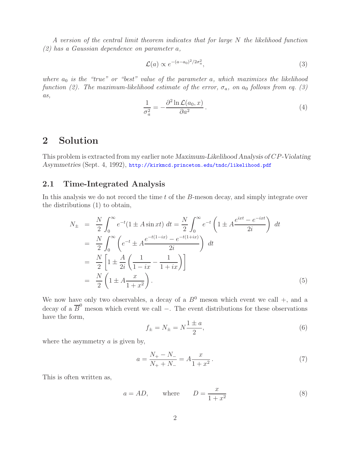*A version of the central limit theorem indicates that for large* N *the likelihood function (2) has a Gaussian dependence on parameter* a*,*

$$
\mathcal{L}(a) \propto e^{-(a-a_0)^2/2\sigma_a^2},\tag{3}
$$

*where*  $a_0$  *is the "true" or "best" value of the parameter* a, which maximizes the likelihood *function (2). The maximum-likelihood estimate of the error,*  $\sigma_a$ , on  $a_0$  *follows from eq. (3) as,*

$$
\frac{1}{\sigma_a^2} = -\frac{\partial^2 \ln \mathcal{L}(a_0, x)}{\partial a^2}.
$$
\n(4)

### **2 Solution**

This problem is extracted from my earlier note *Maximum-Likelihood Analysis of* CP*-Violating Asymmetries* (Sept. 4, 1992), http://kirkmcd.princeton.edu/tndc/likelihood.pdf

### **2.1 Time-Integrated Analysis**

In this analysis we do not record the time t of the B-meson decay, and simply integrate over the distributions (1) to obtain,

$$
N_{\pm} = \frac{N}{2} \int_0^{\infty} e^{-t} (1 \pm A \sin xt) dt = \frac{N}{2} \int_0^{\infty} e^{-t} \left( 1 \pm A \frac{e^{ixt} - e^{-ixt}}{2i} \right) dt
$$
  
\n
$$
= \frac{N}{2} \int_0^{\infty} \left( e^{-t} \pm A \frac{e^{-t(1-ix)} - e^{-t(1+ix)}}{2i} \right) dt
$$
  
\n
$$
= \frac{N}{2} \left[ 1 \pm \frac{A}{2i} \left( \frac{1}{1-ix} - \frac{1}{1+ix} \right) \right]
$$
  
\n
$$
= \frac{N}{2} \left( 1 \pm A \frac{x}{1+x^2} \right).
$$
 (5)

We now have only two observables, a decay of a  $B^0$  meson which event we call +, and a decay of a  $\overline{B}^0$  meson which event we call –. The event distributions for these observations have the form,

$$
f_{\pm} = N_{\pm} = N \frac{1 \pm a}{2},\tag{6}
$$

where the asymmetry  $a$  is given by,

$$
a = \frac{N_{+} - N_{-}}{N_{+} + N_{-}} = A \frac{x}{1 + x^{2}}.
$$
\n(7)

This is often written as,

$$
a = AD, \qquad \text{where} \qquad D = \frac{x}{1 + x^2} \tag{8}
$$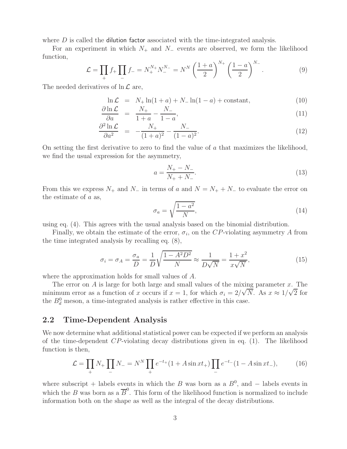where  $D$  is called the dilution factor associated with the time-integrated analysis.

For an experiment in which  $N_+$  and  $N_-$  events are observed, we form the likelihood function,

$$
\mathcal{L} = \prod_{+} f_{+} \prod_{-} f_{-} = N_{+}^{N_{+}} N_{-}^{N_{-}} = N^{N} \left( \frac{1+a}{2} \right)^{N_{+}} \left( \frac{1-a}{2} \right)^{N_{-}}.
$$
 (9)

The needed derivatives of  $\ln \mathcal{L}$  are,

$$
\ln \mathcal{L} = N_+ \ln(1+a) + N_- \ln(1-a) + \text{constant},\tag{10}
$$

$$
\frac{\partial \ln \mathcal{L}}{\partial a} = \frac{N_+}{1 + a} - \frac{N_-}{1 - a},\tag{11}
$$

$$
\frac{\partial^2 \ln \mathcal{L}}{\partial a^2} = -\frac{N_+}{(1+a)^2} - \frac{N_-}{(1-a)^2}.
$$
\n(12)

On setting the first derivative to zero to find the value of  $a$  that maximizes the likelihood, we find the usual expression for the asymmetry,

$$
a = \frac{N_{+} - N_{-}}{N_{+} + N_{-}}.\tag{13}
$$

From this we express  $N_+$  and  $N_-$  in terms of a and  $N = N_+ + N_-$  to evaluate the error on the estimate of a as,

$$
\sigma_a = \sqrt{\frac{1 - a^2}{N}},\tag{14}
$$

using eq. (4). This agrees with the usual analysis based on the binomial distribution.

Finally, we obtain the estimate of the error,  $\sigma_i$ , on the CP-violating asymmetry A from the time integrated analysis by recalling eq. (8),

$$
\sigma_i = \sigma_A = \frac{\sigma_a}{D} = \frac{1}{D} \sqrt{\frac{1 - A^2 D^2}{N}} \approx \frac{1}{D\sqrt{N}} = \frac{1 + x^2}{x\sqrt{N}},\tag{15}
$$

where the approximation holds for small values of A.

The error on A is large for both large and small values of the mixing parameter x. The minimum error as a function of x occurs if  $x = 1$ , for which  $\sigma_i = 2/\sqrt{N}$ . As  $x \approx 1/\sqrt{2}$  for the  $B_d^0$  meson, a time-integrated analysis is rather effective in this case.

#### **2.2 Time-Dependent Analysis**

We now determine what additional statistical power can be expected if we perform an analysis of the time-dependent  $CP$ -violating decay distributions given in eq. (1). The likelihood function is then,

$$
\mathcal{L} = \prod_{+} N_{+} \prod_{-} N_{-} = N^{N} \prod_{+} e^{-t_{+}} (1 + A \sin xt_{+}) \prod_{-} e^{-t_{-}} (1 - A \sin xt_{-}), \tag{16}
$$

where subscript + labels events in which the B was born as a  $B^0$ , and – labels events in which the B was born as a  $\overline{B}^0$ . This form of the likelihood function is normalized to include information both on the shape as well as the integral of the decay distributions.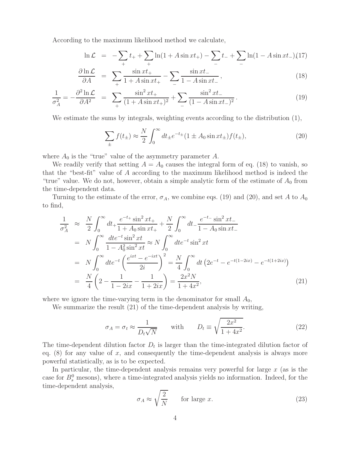According to the maximum likelihood method we calculate,

$$
\ln \mathcal{L} = -\sum_{+} t_{+} + \sum_{+} \ln(1 + A \sin xt_{+}) - \sum_{-} t_{-} + \sum_{-} \ln(1 - A \sin xt_{-}) (17)
$$

$$
\frac{\partial \ln \mathcal{L}}{\partial A} = \sum_{+} \frac{\sin xt_{+}}{1 + A \sin xt_{+}} - \sum_{-} \frac{\sin xt_{-}}{1 - A \sin xt_{-}}, \tag{18}
$$

$$
\frac{1}{\sigma_A^2} = -\frac{\partial^2 \ln \mathcal{L}}{\partial A^2} = \sum_{+} \frac{\sin^2 xt_+}{(1 + A \sin xt_+)^2} + \sum_{-} \frac{\sin^2 xt_-}{(1 - A \sin xt_-)^2}.
$$
(19)

We estimate the sums by integrals, weighting events according to the distribution (1),

$$
\sum_{\pm} f(t_{\pm}) \approx \frac{N}{2} \int_0^\infty dt_{\pm} e^{-t_{\pm}} (1 \pm A_0 \sin xt_{\pm}) f(t_{\pm}), \tag{20}
$$

where  $A_0$  is the "true" value of the asymmetry parameter  $A$ .

We readily verify that setting  $A = A_0$  causes the integral form of eq. (18) to vanish, so that the "best-fit" value of A according to the maximum likelihood method is indeed the "true" value. We do not, however, obtain a simple analytic form of the estimate of  $A_0$  from the time-dependent data.

Turning to the estimate of the error,  $\sigma_A$ , we combine eqs. (19) and (20), and set A to  $A_0$ to find,

$$
\frac{1}{\sigma_A^2} \approx \frac{N}{2} \int_0^\infty dt_+ \frac{e^{-t_+} \sin^2 xt_+}{1 + A_0 \sin xt_+} + \frac{N}{2} \int_0^\infty dt_- \frac{e^{-t_-} \sin^2 xt_-}{1 - A_0 \sin xt_-}
$$
\n
$$
= N \int_0^\infty \frac{dt e^{-t} \sin^2 xt}{1 - A_0^2 \sin^2 xt} \approx N \int_0^\infty dt e^{-t} \sin^2 xt
$$
\n
$$
= N \int_0^\infty dt e^{-t} \left(\frac{e^{ixt} - e^{-ixt}}{2i}\right)^2 = \frac{N}{4} \int_0^\infty dt \left(2e^{-t} - e^{-t(1-2ix)} - e^{-t(1+2ix)}\right)
$$
\n
$$
= \frac{N}{4} \left(2 - \frac{1}{1 - 2ix} - \frac{1}{1 + 2ix}\right) = \frac{2x^2 N}{1 + 4x^2},\tag{21}
$$

where we ignore the time-varying term in the denominator for small  $A_0$ ,

We summarize the result (21) of the time-dependent analysis by writing,

$$
\sigma_A = \sigma_t \approx \frac{1}{D_t \sqrt{N}} \quad \text{with} \quad D_t \equiv \sqrt{\frac{2x^2}{1 + 4x^2}}. \tag{22}
$$

The time-dependent dilution factor  $D_t$  is larger than the time-integrated dilution factor of eq.  $(8)$  for any value of x, and consequently the time-dependent analysis is always more powerful statistically, as is to be expected.

In particular, the time-dependent analysis remains very powerful for large  $x$  (as is the case for  $B_s^0$  mesons), where a time-integrated analysis yields no information. Indeed, for the time-dependent analysis,

$$
\sigma_A \approx \sqrt{\frac{2}{N}} \qquad \text{for large } x. \tag{23}
$$